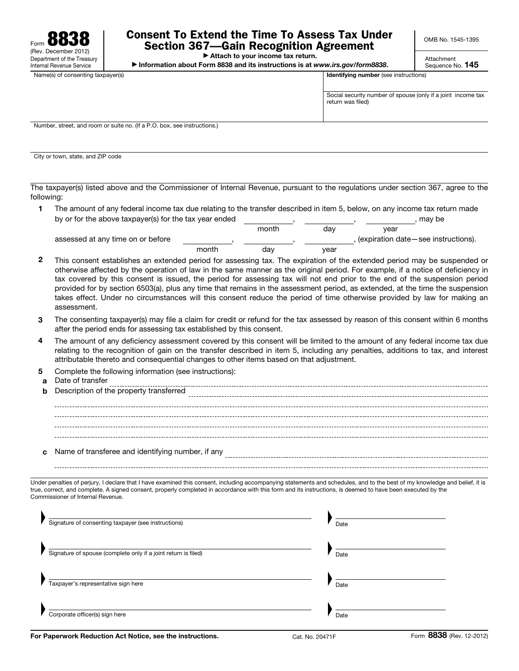

## Consent To Extend the Time To Assess Tax Under Section 367—Gain Recognition Agreement

OMB No. 1545-1395

▶ Attach to your income tax return.

▶ Information about Form 8838 and its instructions is at *www.irs.gov/form8838*.

Attachment Sequence No. 145

Name(s) of consenting taxpayer(s) and the state of consenting taxpayer(s) in the state of consenting taxpayer(s)

| Social security number of spouse (only if a joint income tax |  |
|--------------------------------------------------------------|--|
| return was filed)                                            |  |
|                                                              |  |

, (expiration date—see instructions).

Number, street, and room or suite no. (If a P.O. box, see instructions.)

City or town, state, and ZIP code

The taxpayer(s) listed above and the Commissioner of Internal Revenue, pursuant to the regulations under section 367, agree to the following:

| The amount of any federal income tax due relating to the transfer described in item 5, below, on any income tax return made |       |     |      |        |
|-----------------------------------------------------------------------------------------------------------------------------|-------|-----|------|--------|
| by or for the above taxpayer(s) for the tax year ended                                                                      |       |     |      | may be |
|                                                                                                                             | month | dav | vear |        |

,

month

assessed at any time on or before

2 This consent establishes an extended period for assessing tax. The expiration of the extended period may be suspended or otherwise affected by the operation of law in the same manner as the original period. For example, if a notice of deficiency in tax covered by this consent is issued, the period for assessing tax will not end prior to the end of the suspension period provided for by section 6503(a), plus any time that remains in the assessment period, as extended, at the time the suspension takes effect. Under no circumstances will this consent reduce the period of time otherwise provided by law for making an assessment.

day

,

year

- 3 The consenting taxpayer(s) may file a claim for credit or refund for the tax assessed by reason of this consent within 6 months after the period ends for assessing tax established by this consent.
- 4 The amount of any deficiency assessment covered by this consent will be limited to the amount of any federal income tax due relating to the recognition of gain on the transfer described in item 5, including any penalties, additions to tax, and interest attributable thereto and consequential changes to other items based on that adjustment.
- 5 Complete the following information (see instructions):
- a Date of transfer **b** Description of the property transferred c Name of transferee and identifying number, if any

Under penalties of perjury, I declare that I have examined this consent, including accompanying statements and schedules, and to the best of my knowledge and belief, it is true, correct, and complete. A signed consent, properly completed in accordance with this form and its instructions, is deemed to have been executed by the Commissioner of Internal Revenue.

| Signature of consenting taxpayer (see instructions)            | Date |
|----------------------------------------------------------------|------|
| Signature of spouse (complete only if a joint return is filed) | Date |
| Taxpayer's representative sign here                            | Date |
| Corporate officer(s) sign here                                 | Date |